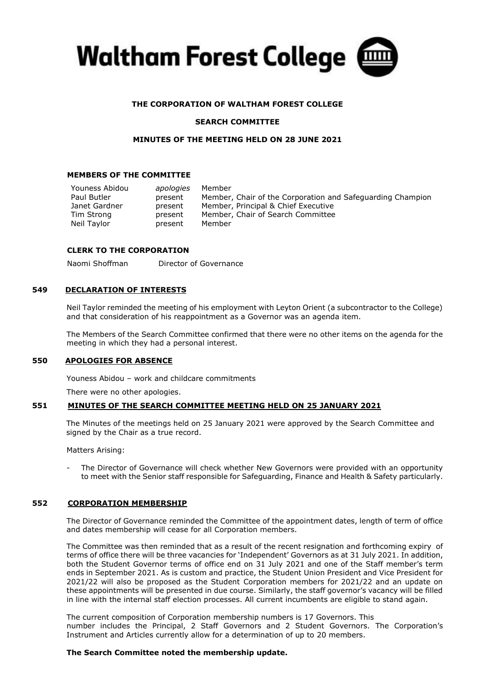

## **THE CORPORATION OF WALTHAM FOREST COLLEGE**

#### **SEARCH COMMITTEE**

## **MINUTES OF THE MEETING HELD ON 28 JUNE 2021**

#### **MEMBERS OF THE COMMITTEE**

| Youness Abidou | apologies | Member                                                     |
|----------------|-----------|------------------------------------------------------------|
| Paul Butler    | present   | Member, Chair of the Corporation and Safeguarding Champion |
| Janet Gardner  | present   | Member, Principal & Chief Executive                        |
| Tim Strong     | present   | Member, Chair of Search Committee                          |
| Neil Taylor    | present   | Member                                                     |

#### **CLERK TO THE CORPORATION**

Naomi Shoffman Director of Governance

#### **549 DECLARATION OF INTERESTS**

Neil Taylor reminded the meeting of his employment with Leyton Orient (a subcontractor to the College) and that consideration of his reappointment as a Governor was an agenda item.

The Members of the Search Committee confirmed that there were no other items on the agenda for the meeting in which they had a personal interest.

## **550 APOLOGIES FOR ABSENCE**

Youness Abidou – work and childcare commitments

There were no other apologies.

#### **551 MINUTES OF THE SEARCH COMMITTEE MEETING HELD ON 25 JANUARY 2021**

 The Minutes of the meetings held on 25 January 2021 were approved by the Search Committee and signed by the Chair as a true record.

Matters Arising:

The Director of Governance will check whether New Governors were provided with an opportunity to meet with the Senior staff responsible for Safeguarding, Finance and Health & Safety particularly.

#### **552 CORPORATION MEMBERSHIP**

The Director of Governance reminded the Committee of the appointment dates, length of term of office and dates membership will cease for all Corporation members.

The Committee was then reminded that as a result of the recent resignation and forthcoming expiry of terms of office there will be three vacancies for 'Independent' Governors as at 31 July 2021. In addition, both the Student Governor terms of office end on 31 July 2021 and one of the Staff member's term ends in September 2021. As is custom and practice, the Student Union President and Vice President for 2021/22 will also be proposed as the Student Corporation members for 2021/22 and an update on these appointments will be presented in due course. Similarly, the staff governor's vacancy will be filled in line with the internal staff election processes. All current incumbents are eligible to stand again.

The current composition of Corporation membership numbers is 17 Governors. This number includes the Principal, 2 Staff Governors and 2 Student Governors. The Corporation's Instrument and Articles currently allow for a determination of up to 20 members.

#### **The Search Committee noted the membership update.**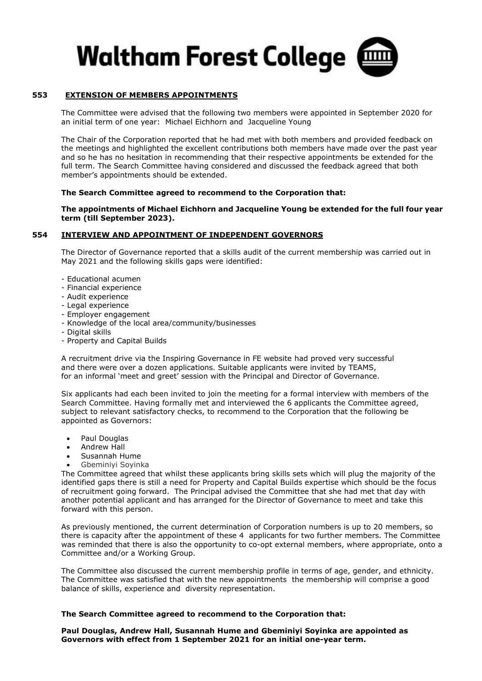

## **553 EXTENSION OF MEMBERS APPOINTMENTS**

The Committee were advised that the following two members were appointed in September 2020 for an initial term of one year: Michael Eichhorn and Jacqueline Young

The Chair of the Corporation reported that he had met with both members and provided feedback on the meetings and highlighted the excellent contributions both members have made over the past year and so he has no hesitation in recommending that their respective appointments be extended for the full term. The Search Committee having considered and discussed the feedback agreed that both member's appointments should be extended.

#### **The Search Committee agreed to recommend to the Corporation that:**

**The appointments of Michael Eichhorn and Jacqueline Young be extended for the full four year term (till September 2023).**

#### **554 INTERVIEW AND APPOINTMENT OF INDEPENDENT GOVERNORS**

The Director of Governance reported that a skills audit of the current membership was carried out in May 2021 and the following skills gaps were identified:

- Educational acumen
- Financial experience
- Audit experience
- Legal experience
- Employer engagement
- Knowledge of the local area/community/businesses
- Digital skills
- Property and Capital Builds

A recruitment drive via the Inspiring Governance in FE website had proved very successful and there were over a dozen applications. Suitable applicants were invited by TEAMS, for an informal 'meet and greet' session with the Principal and Director of Governance.

Six applicants had each been invited to join the meeting for a formal interview with members of the Search Committee. Having formally met and interviewed the 6 applicants the Committee agreed, subject to relevant satisfactory checks, to recommend to the Corporation that the following be appointed as Governors:

- Paul Douglas
- Andrew Hall
- Susannah Hume
- Gbeminiyi Soyinka

The Committee agreed that whilst these applicants bring skills sets which will plug the majority of the identified gaps there is still a need for Property and Capital Builds expertise which should be the focus of recruitment going forward. The Principal advised the Committee that she had met that day with another potential applicant and has arranged for the Director of Governance to meet and take this forward with this person.

As previously mentioned, the current determination of Corporation numbers is up to 20 members, so there is capacity after the appointment of these 4 applicants for two further members. The Committee was reminded that there is also the opportunity to co-opt external members, where appropriate, onto a Committee and/or a Working Group.

The Committee also discussed the current membership profile in terms of age, gender, and ethnicity. The Committee was satisfied that with the new appointments the membership will comprise a good balance of skills, experience and diversity representation.

### **The Search Committee agreed to recommend to the Corporation that:**

**Paul Douglas, Andrew Hall, Susannah Hume and Gbeminiyi Soyinka are appointed as Governors with effect from 1 September 2021 for an initial one-year term.**